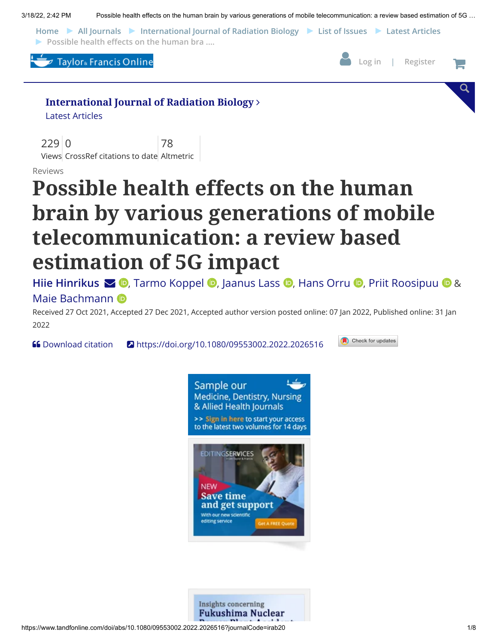3/18/22, 2:42 PM Possible health effects on the human brain by various generations of mobile telecommunication: a review based estimation of 5G …

**[Home](https://www.tandfonline.com/) [All Journals](https://www.tandfonline.com/action/showPublications?pubType=journal) [International Journal of Radiation Biology](https://www.tandfonline.com/irab20) [List of Issues](https://www.tandfonline.com/loi/irab20) [Latest Articles](https://www.tandfonline.com/toc/irab20/0/0) Possible health effects on the human bra ....** 





Check for updates

Q

#### **[International Journal of Radiation Biology](https://www.tandfonline.com/journals/irab20)**

Latest [Articles](https://www.tandfonline.com/toc/irab20/0/0)

229 0 Views CrossRef citations to date Altmetric 78

Reviews

# **Possible health effects on the human brain by various generations of mobile telecommunication: a review based estimation of 5G impact**

[Hiie Hinrikus](https://www.tandfonline.com/author/Hinrikus%2C+Hiie)**S D**[,](https://orcid.org/0000-0002-7965-9451) Tarmo [Koppel](https://www.tandfonline.com/author/Koppel%2C+Tarmo) **D**, [Jaanus](https://www.tandfonline.com/author/Lass%2C+Jaanus) Lass **D**, [Hans](https://www.tandfonline.com/author/Orru%2C+Hans) Orru **D**, Priit [Roosipuu](https://www.tandfonline.com/author/Roosipuu%2C+Priit) **D** & Maie [Bachmann](https://www.tandfonline.com/author/Bachmann%2C+Maie) **D** 

Received 27 Oct 2021, Accepted 27 Dec 2021, Accepted author version posted online: 07 Jan 2022, Published online: 31 Jan 2022

**66** [Download citation](https://www.tandfonline.com/action/showCitFormats?doi=10.1080%2F09553002.2022.2026516&area=0000000000000001) **2** <https://doi.org/10.1080/09553002.2022.2026516>



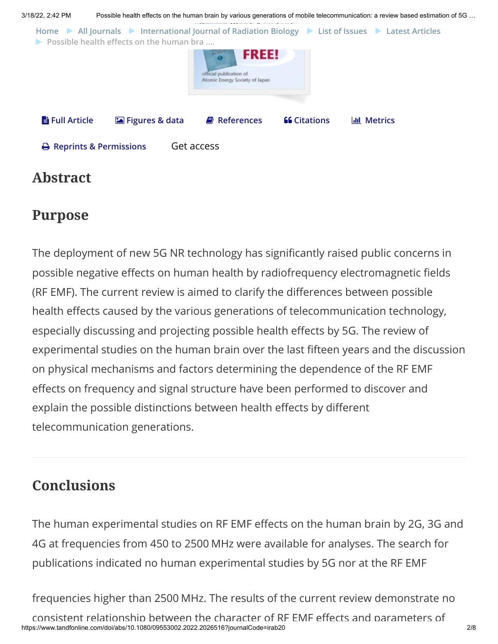

## **Abstract**

## **Purpose**

The deployment of new 5G NR technology has significantly raised public concerns in possible negative effects on human health by radiofrequency electromagnetic fields (RF EMF). The current review is aimed to clarify the differences between possible health effects caused by the various generations of telecommunication technology, especially discussing and projecting possible health effects by 5G. The review of experimental studies on the human brain over the last fifteen years and the discussion on physical mechanisms and factors determining the dependence of the RF EMF effects on frequency and signal structure have been performed to discover and explain the possible distinctions between health effects by different telecommunication generations.

# **Conclusions**

The human experimental studies on RF EMF effects on the human brain by 2G, 3G and 4G at frequencies from 450 to 2500 MHz were available for analyses. The search for publications indicated no human experimental studies by 5G nor at the RF EMF

https://www.tandfonline.com/doi/abs/10.1080/09553002.2022.2026516?journalCode=irab20 2/8 frequencies higher than 2500 MHz. The results of the current review demonstrate no consistent relationship between the character of RF EMF effects and parameters of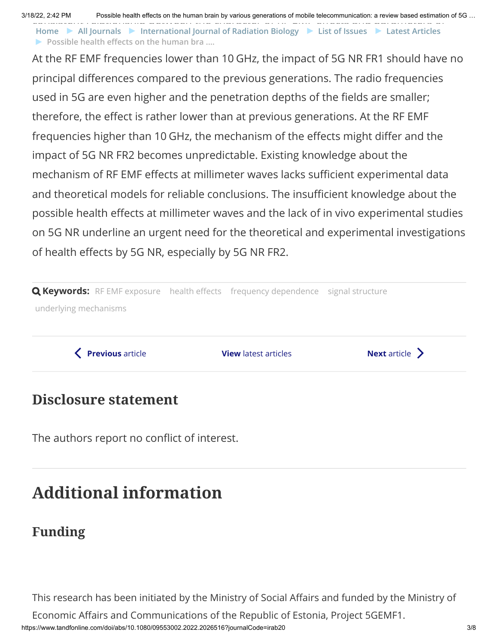3/18/22, 2:42 PM Possible health effects on the human brain by various generations of mobile telecommunication: a review based estimation of 5G …

consistent relationship between the character of RF EMF effects and parameters of **Possible health effects on the human bra .... [Home](https://www.tandfonline.com/) [All Journals](https://www.tandfonline.com/action/showPublications?pubType=journal) [International Journal of Radiation Biology](https://www.tandfonline.com/irab20) [List of Issues](https://www.tandfonline.com/loi/irab20) [Latest Articles](https://www.tandfonline.com/toc/irab20/0/0)**

At the RF EMF frequencies lower than 10 GHz, the impact of 5G NR FR1 should have no principal differences compared to the previous generations. The radio frequencies used in 5G are even higher and the penetration depths of the fields are smaller; therefore, the effect is rather lower than at previous generations. At the RF EMF frequencies higher than 10 GHz, the mechanism of the effects might differ and the impact of 5G NR FR2 becomes unpredictable. Existing knowledge about the mechanism of RF EMF effects at millimeter waves lacks sufficient experimental data and theoretical models for reliable conclusions. The insufficient knowledge about the possible health effects at millimeter waves and the lack of in vivo experimental studies on 5G NR underline an urgent need for the theoretical and experimental investigations of health effects by 5G NR, especially by 5G NR FR2.

**Q Keywords:** RF EMF [exposure](https://www.tandfonline.com/keyword/RF+EMF+Exposure) health [effects](https://www.tandfonline.com/keyword/Health+Effects) [frequency dependence](https://www.tandfonline.com/keyword/Frequency+Dependence) signal [structure](https://www.tandfonline.com/keyword/Signal+Structure) underlying [mechanisms](https://www.tandfonline.com/keyword/Underlying+Mechanisms)

◆ [Previous](https://www.tandfonline.com/doi/full/10.1080/09553002.2022.2024291) [article](https://www.tandfonline.com/doi/full/10.1080/09553002.2022.2027541) **View** [latest articles](https://www.tandfonline.com/action/showAxaArticles?journalCode=irab20) **Next** article ▶

### **Disclosure statement**

The authors report no conflict of interest.

# **Additional information**

# **Funding**

This research has been initiated by the Ministry of Social Affairs and funded by the Ministry of

Economic Affairs and Communications of the Republic of Estonia, Project 5GEMF1.

https://www.tandfonline.com/doi/abs/10.1080/09553002.2022.2026516?journalCode=irab20 3/8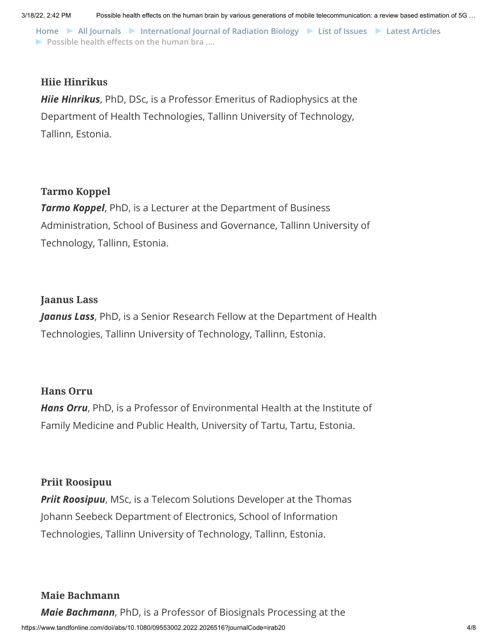**Possible health effects on the human bra .... [Home](https://www.tandfonline.com/) [All Journals](https://www.tandfonline.com/action/showPublications?pubType=journal) [International Journal of Radiation Biology](https://www.tandfonline.com/irab20) [List of Issues](https://www.tandfonline.com/loi/irab20) [Latest Articles](https://www.tandfonline.com/toc/irab20/0/0)**

#### **Hiie Hinrikus**

*Hiie Hinrikus*, PhD, DSc, is a Professor Emeritus of Radiophysics at the Department of Health Technologies, Tallinn University of Technology, Tallinn, Estonia.

#### **Tarmo Koppel**

*Tarmo Koppel*, PhD, is a Lecturer at the Department of Business Administration, School of Business and Governance, Tallinn University of Technology, Tallinn, Estonia.

#### **Jaanus Lass**

*Jaanus Lass*, PhD, is a Senior Research Fellow at the Department of Health Technologies, Tallinn University of Technology, Tallinn, Estonia.

#### **Hans Orru**

*Hans Orru*, PhD, is a Professor of Environmental Health at the Institute of Family Medicine and Public Health, University of Tartu, Tartu, Estonia.

#### **Priit Roosipuu**

*Priit Roosipuu*, MSc, is a Telecom Solutions Developer at the Thomas Johann Seebeck Department of Electronics, School of Information Technologies, Tallinn University of Technology, Tallinn, Estonia.

#### **Maie Bachmann**

https://www.tandfonline.com/doi/abs/10.1080/09553002.2022.2026516?journalCode=irab20 4/8 *Maie Bachmann*, PhD, is a Professor of Biosignals Processing at the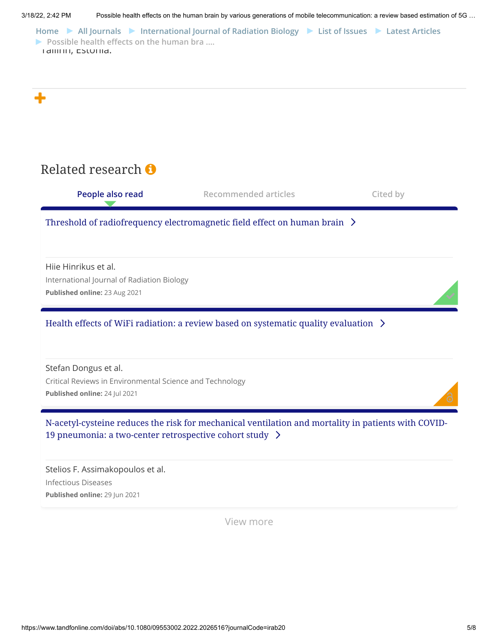<span id="page-4-0"></span>

View more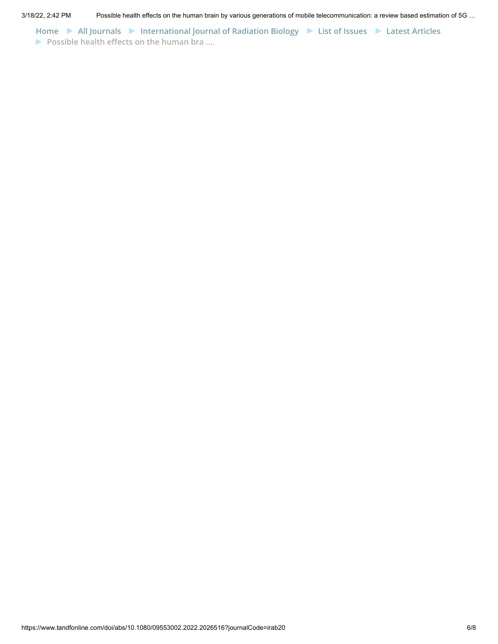**[Home](https://www.tandfonline.com/) [All Journals](https://www.tandfonline.com/action/showPublications?pubType=journal) [International Journal of Radiation Biology](https://www.tandfonline.com/irab20) [List of Issues](https://www.tandfonline.com/loi/irab20) [Latest Articles](https://www.tandfonline.com/toc/irab20/0/0) Possible health effects on the human bra ....**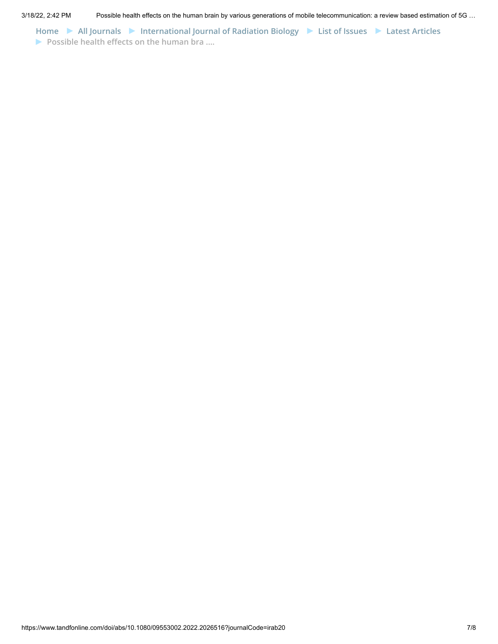**[Home](https://www.tandfonline.com/) [All Journals](https://www.tandfonline.com/action/showPublications?pubType=journal) [International Journal of Radiation Biology](https://www.tandfonline.com/irab20) [List of Issues](https://www.tandfonline.com/loi/irab20) [Latest Articles](https://www.tandfonline.com/toc/irab20/0/0) Possible health effects on the human bra ....**